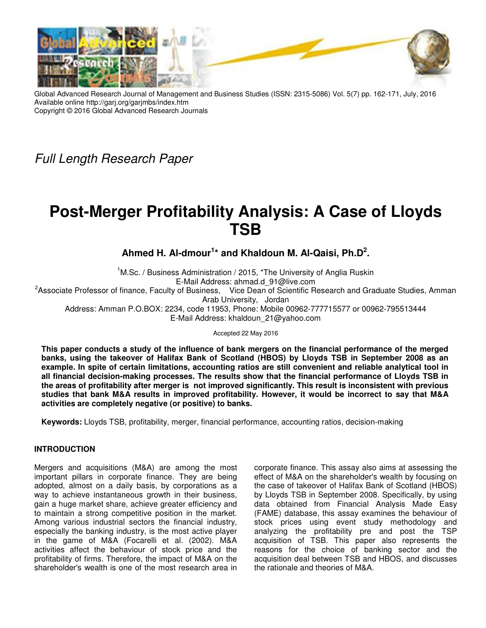

Global Advanced Research Journal of Management and Business Studies (ISSN: 2315-5086) Vol. 5(7) pp. 162-171, July, 2016 Available online http://garj.org/garjmbs/index.htm Copyright © 2016 Global Advanced Research Journals

Full Length Research Paper

# **Post-Merger Profitability Analysis: A Case of Lloyds TSB**

**Ahmed H. Al-dmour<sup>1</sup> \* and Khaldoun M. Al-Qaisi, Ph.D<sup>2</sup> .** 

<sup>1</sup>M.Sc. / Business Administration / 2015, \*The University of Anglia Ruskin E-Mail Address: ahmad.d\_91@live.com <sup>2</sup>Associate Professor of finance, Faculty of Business, Vice Dean of Scientific Research and Graduate Studies, Amman Arab University, Jordan

Address: Amman P.O.BOX: 2234, code 11953, Phone: Mobile 00962-777715577 or 00962-795513444 E-Mail Address: khaldoun\_21@yahoo.com

Accepted 22 May 2016

**This paper conducts a study of the influence of bank mergers on the financial performance of the merged banks, using the takeover of Halifax Bank of Scotland (HBOS) by Lloyds TSB in September 2008 as an example. In spite of certain limitations, accounting ratios are still convenient and reliable analytical tool in all financial decision-making processes. The results show that the financial performance of Lloyds TSB in the areas of profitability after merger is not improved significantly. This result is inconsistent with previous studies that bank M&A results in improved profitability. However, it would be incorrect to say that M&A activities are completely negative (or positive) to banks.** 

**Keywords:** Lloyds TSB, profitability, merger, financial performance, accounting ratios, decision-making

# **INTRODUCTION**

Mergers and acquisitions (M&A) are among the most important pillars in corporate finance. They are being adopted, almost on a daily basis, by corporations as a way to achieve instantaneous growth in their business, gain a huge market share, achieve greater efficiency and to maintain a strong competitive position in the market. Among various industrial sectors the financial industry, especially the banking industry, is the most active player in the game of M&A (Focarelli et al. (2002). M&A activities affect the behaviour of stock price and the profitability of firms. Therefore, the impact of M&A on the shareholder's wealth is one of the most research area in

corporate finance. This assay also aims at assessing the effect of M&A on the shareholder's wealth by focusing on the case of takeover of Halifax Bank of Scotland (HBOS) by Lloyds TSB in September 2008. Specifically, by using data obtained from Financial Analysis Made Easy (FAME) database, this assay examines the behaviour of stock prices using event study methodology and analyzing the profitability pre and post the TSP analyzing the profitation, procedured acquisition of TSB. This paper also represents the reasons for the choice of banking sector and the acquisition deal between TSB and HBOS, and discusses the rationale and theories of M&A.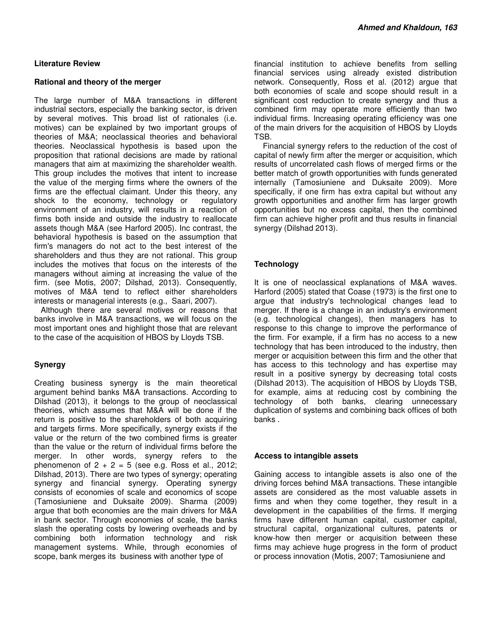#### **Literature Review**

#### **Rational and theory of the merger**

The large number of M&A transactions in different industrial sectors, especially the banking sector, is driven by several motives. This broad list of rationales (i.e. motives) can be explained by two important groups of theories of M&A; neoclassical theories and behavioral theories. Neoclassical hypothesis is based upon the proposition that rational decisions are made by rational managers that aim at maximizing the shareholder wealth. This group includes the motives that intent to increase the value of the merging firms where the owners of the firms are the effectual claimant. Under this theory, any shock to the economy, technology or regulatory environment of an industry, will results in a reaction of firms both inside and outside the industry to reallocate assets though M&A (see Harford 2005). Inc contrast, the behavioral hypothesis is based on the assumption that firm's managers do not act to the best interest of the shareholders and thus they are not rational. This group includes the motives that focus on the interests of the managers without aiming at increasing the value of the firm. (see Motis, 2007; Dilshad, 2013). Consequently, motives of M&A tend to reflect either shareholders interests or managerial interests (e.g., Saari, 2007).

 Although there are several motives or reasons that banks involve in M&A transactions, we will focus on the most important ones and highlight those that are relevant to the case of the acquisition of HBOS by Lloyds TSB.

# **Synergy**

Creating business synergy is the main theoretical argument behind banks M&A transactions. According to Dilshad (2013), it belongs to the group of neoclassical theories, which assumes that M&A will be done if the return is positive to the shareholders of both acquiring and targets firms. More specifically, synergy exists if the value or the return of the two combined firms is greater than the value or the return of individual firms before the merger. In other words, synergy refers to the phenomenon of  $2 + 2 = 5$  (see e.g. Ross et al., 2012; Dilshad, 2013). There are two types of synergy; operating synergy and financial synergy. Operating synergy consists of economies of scale and economics of scope (Tamosiuniene and Duksaite 2009). Sharma (2009) argue that both economies are the main drivers for M&A in bank sector. Through economies of scale, the banks slash the operating costs by lowering overheads and by combining both information technology and risk management systems. While, through economies of scope, bank merges its business with another type of

financial institution to achieve benefits from selling financial services using already existed distribution network. Consequently, Ross et al. (2012) argue that both economies of scale and scope should result in a significant cost reduction to create synergy and thus a combined firm may operate more efficiently than two individual firms. Increasing operating efficiency was one of the main drivers for the acquisition of HBOS by Lloyds TSB.

 Financial synergy refers to the reduction of the cost of capital of newly firm after the merger or acquisition, which results of uncorrelated cash flows of merged firms or the better match of growth opportunities with funds generated internally (Tamosiuniene and Duksaite 2009). More specifically, if one firm has extra capital but without any growth opportunities and another firm has larger growth opportunities but no excess capital, then the combined firm can achieve higher profit and thus results in financial synergy (Dilshad 2013).

# **Technology**

It is one of neoclassical explanations of M&A waves. Harford (2005) stated that Coase (1973) is the first one to argue that industry's technological changes lead to merger. If there is a change in an industry's environment (e.g. technological changes), then managers has to response to this change to improve the performance of the firm. For example, if a firm has no access to a new technology that has been introduced to the industry, then merger or acquisition between this firm and the other that has access to this technology and has expertise may result in a positive synergy by decreasing total costs (Dilshad 2013). The acquisition of HBOS by Lloyds TSB, for example, aims at reducing cost by combining the technology of both banks, clearing unnecessary duplication of systems and combining back offices of both banks .

# **Access to intangible assets**

Gaining access to intangible assets is also one of the driving forces behind M&A transactions. These intangible assets are considered as the most valuable assets in firms and when they come together, they result in a development in the capabilities of the firms. If merging firms have different human capital, customer capital, structural capital, organizational cultures, patents or know-how then merger or acquisition between these firms may achieve huge progress in the form of product or process innovation (Motis, 2007; Tamosiuniene and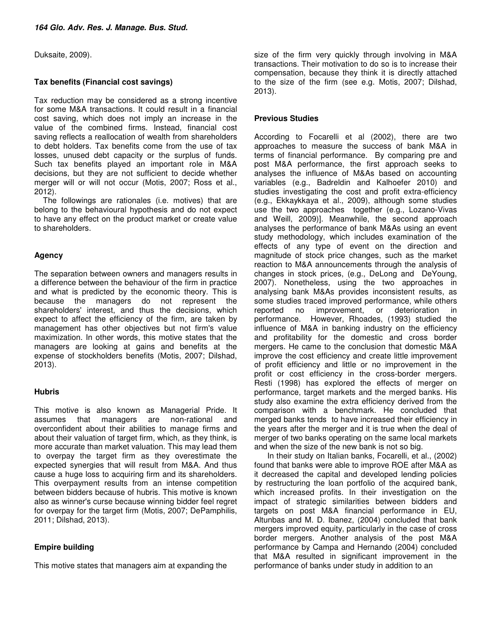Duksaite, 2009).

# **Tax benefits (Financial cost savings)**

Tax reduction may be considered as a strong incentive for some M&A transactions. It could result in a financial cost saving, which does not imply an increase in the value of the combined firms. Instead, financial cost saving reflects a reallocation of wealth from shareholders to debt holders. Tax benefits come from the use of tax losses, unused debt capacity or the surplus of funds. Such tax benefits played an important role in M&A decisions, but they are not sufficient to decide whether merger will or will not occur (Motis, 2007; Ross et al., 2012).

 The followings are rationales (i.e. motives) that are belong to the behavioural hypothesis and do not expect to have any effect on the product market or create value to shareholders.

### **Agency**

The separation between owners and managers results in a difference between the behaviour of the firm in practice and what is predicted by the economic theory. This is because the managers do not represent the shareholders' interest, and thus the decisions, which expect to affect the efficiency of the firm, are taken by management has other objectives but not firm's value maximization. In other words, this motive states that the managers are looking at gains and benefits at the expense of stockholders benefits (Motis, 2007; Dilshad, 2013).

#### **Hubris**

This motive is also known as Managerial Pride. It assumes that managers are non-rational and overconfident about their abilities to manage firms and about their valuation of target firm, which, as they think, is more accurate than market valuation. This may lead them to overpay the target firm as they overestimate the expected synergies that will result from M&A. And thus cause a huge loss to acquiring firm and its shareholders. This overpayment results from an intense competition between bidders because of hubris. This motive is known also as winner's curse because winning bidder feel regret for overpay for the target firm (Motis, 2007; DePamphilis, 2011; Dilshad, 2013).

# **Empire building**

This motive states that managers aim at expanding the

size of the firm very quickly through involving in M&A transactions. Their motivation to do so is to increase their compensation, because they think it is directly attached to the size of the firm (see e.g. Motis, 2007; Dilshad, 2013).

### **Previous Studies**

According to Focarelli et al (2002), there are two approaches to measure the success of bank M&A in terms of financial performance. By comparing pre and post M&A performance, the first approach seeks to analyses the influence of M&As based on accounting variables (e.g., Badreldin and Kalhoefer 2010) and studies investigating the cost and profit extra-efficiency (e.g., Ekkaykkaya et al., 2009), although some studies use the two approaches together (e.g., Lozano-Vivas and Weill, 2009)]. Meanwhile, the second approach analyses the performance of bank M&As using an event study methodology, which includes examination of the effects of any type of event on the direction and magnitude of stock price changes, such as the market reaction to M&A announcements through the analysis of changes in stock prices, (e.g., DeLong and DeYoung, 2007). Nonetheless, using the two approaches in analysing bank M&As provides inconsistent results, as some studies traced improved performance, while others reported no improvement, or deterioration in performance. However, Rhoades, (1993) studied the influence of M&A in banking industry on the efficiency and profitability for the domestic and cross border mergers. He came to the conclusion that domestic M&A improve the cost efficiency and create little improvement of profit efficiency and little or no improvement in the profit or cost efficiency in the cross-border mergers. Resti (1998) has explored the effects of merger on performance, target markets and the merged banks. His study also examine the extra efficiency derived from the comparison with a benchmark. He concluded that merged banks tends to have increased their efficiency in the years after the merger and it is true when the deal of merger of two banks operating on the same local markets and when the size of the new bank is not so big.

In their study on Italian banks, Focarelli, et al., (2002) found that banks were able to improve ROE after M&A as it decreased the capital and developed lending policies by restructuring the loan portfolio of the acquired bank, which increased profits. In their investigation on the impact of strategic similarities between bidders and targets on post M&A financial performance in EU, Altunbas and M. D. Ibanez, (2004) concluded that bank mergers improved equity, particularly in the case of cross border mergers. Another analysis of the post M&A performance by Campa and Hernando (2004) concluded that M&A resulted in significant improvement in the performance of banks under study in addition to an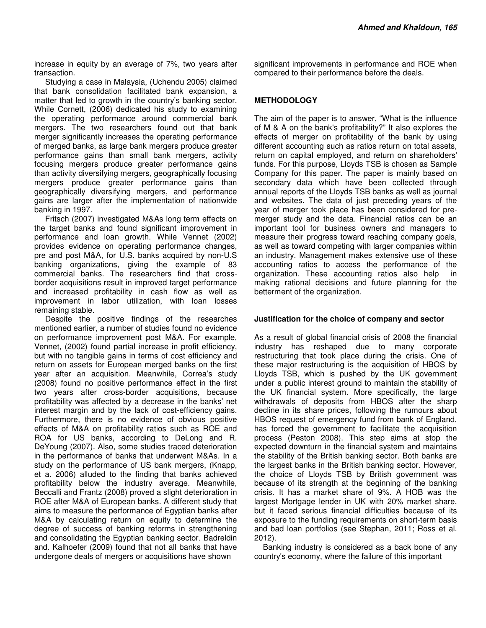increase in equity by an average of 7%, two years after transaction.

 Studying a case in Malaysia, (Uchendu 2005) claimed that bank consolidation facilitated bank expansion, a matter that led to growth in the country's banking sector. While Cornett, (2006) dedicated his study to examining the operating performance around commercial bank mergers. The two researchers found out that bank merger significantly increases the operating performance of merged banks, as large bank mergers produce greater performance gains than small bank mergers, activity focusing mergers produce greater performance gains than activity diversifying mergers, geographically focusing mergers produce greater performance gains than geographically diversifying mergers, and performance gains are larger after the implementation of nationwide banking in 1997.

 Fritsch (2007) investigated M&As long term effects on the target banks and found significant improvement in performance and loan growth. While Vennet (2002) provides evidence on operating performance changes, pre and post M&A, for U.S. banks acquired by non-U.S banking organizations, giving the example of 83 commercial banks. The researchers find that crossborder acquisitions result in improved target performance and increased profitability in cash flow as well as improvement in labor utilization, with loan losses remaining stable.

 Despite the positive findings of the researches mentioned earlier, a number of studies found no evidence on performance improvement post M&A. For example, Vennet, (2002) found partial increase in profit efficiency, but with no tangible gains in terms of cost efficiency and return on assets for European merged banks on the first year after an acquisition. Meanwhile, Correa's study (2008) found no positive performance effect in the first two years after cross-border acquisitions, because profitability was affected by a decrease in the banks' net interest margin and by the lack of cost-efficiency gains. Furthermore, there is no evidence of obvious positive effects of M&A on profitability ratios such as ROE and ROA for US banks, according to DeLong and R. DeYoung (2007). Also, some studies traced deterioration in the performance of banks that underwent M&As. In a study on the performance of US bank mergers, (Knapp, et a. 2006) alluded to the finding that banks achieved profitability below the industry average. Meanwhile, Beccalli and Frantz (2008) proved a slight deterioration in ROE after M&A of European banks. A different study that aims to measure the performance of Egyptian banks after M&A by calculating return on equity to determine the degree of success of banking reforms in strengthening and consolidating the Egyptian banking sector. Badreldin and. Kalhoefer (2009) found that not all banks that have undergone deals of mergers or acquisitions have shown

significant improvements in performance and ROE when compared to their performance before the deals.

### **METHODOLOGY**

The aim of the paper is to answer, "What is the influence of M & A on the bank's profitability?" It also explores the effects of merger on profitability of the bank by using different accounting such as ratios return on total assets, return on capital employed, and return on shareholders' funds. For this purpose, Lloyds TSB is chosen as Sample Company for this paper. The paper is mainly based on secondary data which have been collected through annual reports of the Lloyds TSB banks as well as journal and websites. The data of just preceding years of the year of merger took place has been considered for premerger study and the data. Financial ratios can be an important tool for business owners and managers to measure their progress toward reaching company goals, as well as toward competing with larger companies within an industry. Management makes extensive use of these accounting ratios to access the performance of the organization. These accounting ratios also help in making rational decisions and future planning for the betterment of the organization.

#### **Justification for the choice of company and sector**

As a result of global financial crisis of 2008 the financial industry has reshaped due to many corporate restructuring that took place during the crisis. One of these major restructuring is the acquisition of HBOS by Lloyds TSB, which is pushed by the UK government under a public interest ground to maintain the stability of the UK financial system. More specifically, the large withdrawals of deposits from HBOS after the sharp decline in its share prices, following the rumours about HBOS request of emergency fund from bank of England, has forced the government to facilitate the acquisition process (Peston 2008). This step aims at stop the expected downturn in the financial system and maintains the stability of the British banking sector. Both banks are the largest banks in the British banking sector. However, the choice of Lloyds TSB by British government was because of its strength at the beginning of the banking crisis. It has a market share of 9%. A HOB was the largest Mortgage lender in UK with 20% market share, but it faced serious financial difficulties because of its exposure to the funding requirements on short-term basis and bad loan portfolios (see Stephan, 2011; Ross et al. 2012).

 Banking industry is considered as a back bone of any country's economy, where the failure of this important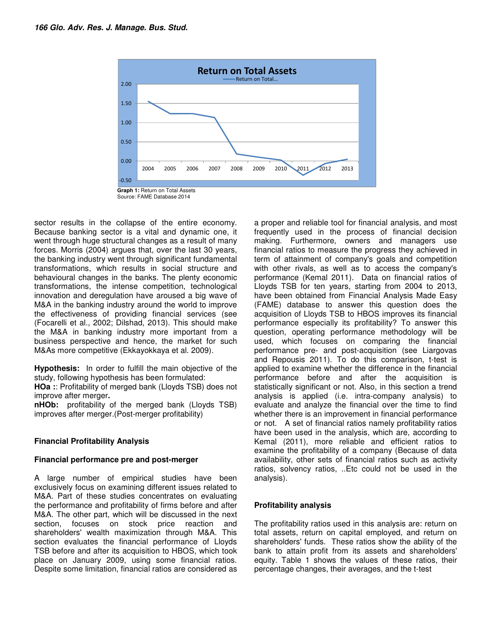

sector results in the collapse of the entire economy. Because banking sector is a vital and dynamic one, it went through huge structural changes as a result of many forces. Morris (2004) argues that, over the last 30 years, the banking industry went through significant fundamental transformations, which results in social structure and behavioural changes in the banks. The plenty economic transformations, the intense competition, technological innovation and deregulation have aroused a big wave of M&A in the banking industry around the world to improve the effectiveness of providing financial services (see (Focarelli et al., 2002; Dilshad, 2013). This should make the M&A in banking industry more important from a business perspective and hence, the market for such M&As more competitive (Ekkayokkaya et al. 2009).

**Hypothesis:** In order to fulfill the main objective of the study, following hypothesis has been formulated:

**HOa :**: Profitability of merged bank (Lloyds TSB) does not improve after merger**.** 

**nHOb:** profitability of the merged bank (Lloyds TSB) improves after merger.(Post-merger profitability)

#### **Financial Profitability Analysis**

#### **Financial performance pre and post-merger**

A large number of empirical studies have been exclusively focus on examining different issues related to M&A. Part of these studies concentrates on evaluating the performance and profitability of firms before and after M&A. The other part, which will be discussed in the next section, focuses on stock price reaction and shareholders' wealth maximization through M&A. This section evaluates the financial performance of Lloyds TSB before and after its acquisition to HBOS, which took place on January 2009, using some financial ratios. Despite some limitation, financial ratios are considered as

a proper and reliable tool for financial analysis, and most frequently used in the process of financial decision making. Furthermore, owners and managers use financial ratios to measure the progress they achieved in term of attainment of company's goals and competition with other rivals, as well as to access the company's performance (Kemal 2011). Data on financial ratios of Lloyds TSB for ten years, starting from 2004 to 2013, have been obtained from Financial Analysis Made Easy (FAME) database to answer this question does the acquisition of Lloyds TSB to HBOS improves its financial performance especially its profitability? To answer this question, operating performance methodology will be used, which focuses on comparing the financial performance pre- and post-acquisition (see Liargovas and Repousis 2011). To do this comparison, t-test is applied to examine whether the difference in the financial performance before and after the acquisition is statistically significant or not. Also, in this section a trend analysis is applied (i.e. intra-company analysis) to evaluate and analyze the financial over the time to find whether there is an improvement in financial performance or not. A set of financial ratios namely profitability ratios have been used in the analysis, which are, according to Kemal (2011), more reliable and efficient ratios to examine the profitability of a company (Because of data availability, other sets of financial ratios such as activity ratios, solvency ratios, ..Etc could not be used in the analysis).

# **Profitability analysis**

The profitability ratios used in this analysis are: return on total assets, return on capital employed, and return on shareholders' funds. These ratios show the ability of the bank to attain profit from its assets and shareholders' equity. Table 1 shows the values of these ratios, their percentage changes, their averages, and the t-test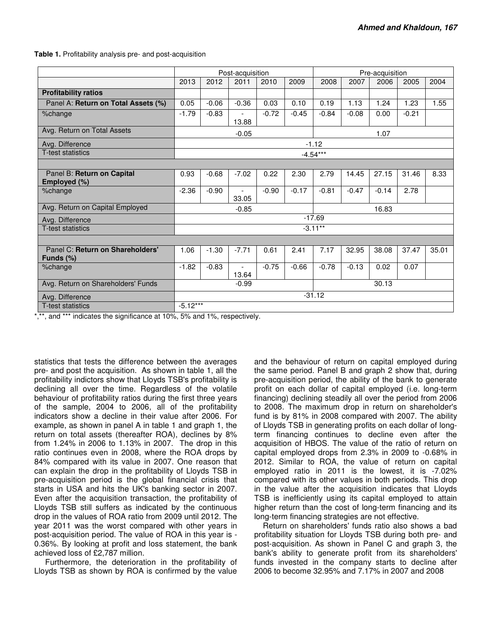**Table 1.** Profitability analysis pre- and post-acquisition

|                                                  | Post-acquisition |         |                                   |         |         | Pre-acquisition |         |         |         |       |
|--------------------------------------------------|------------------|---------|-----------------------------------|---------|---------|-----------------|---------|---------|---------|-------|
|                                                  | 2013             | 2012    | 2011                              | 2010    | 2009    | 2008            | 2007    | 2006    | 2005    | 2004  |
| <b>Profitability ratios</b>                      |                  |         |                                   |         |         |                 |         |         |         |       |
| Panel A: Return on Total Assets (%)              | 0.05             | $-0.06$ | $-0.36$                           | 0.03    | 0.10    | 0.19            | 1.13    | 1.24    | 1.23    | 1.55  |
| %change                                          | $-1.79$          | $-0.83$ | $\overline{\phantom{a}}$<br>13.88 | $-0.72$ | $-0.45$ | $-0.84$         | $-0.08$ | 0.00    | $-0.21$ |       |
| Avg. Return on Total Assets                      | $-0.05$          |         |                                   |         | 1.07    |                 |         |         |         |       |
| Avg. Difference                                  | $-1.12$          |         |                                   |         |         |                 |         |         |         |       |
| <b>T-test statistics</b>                         | $-4.54***$       |         |                                   |         |         |                 |         |         |         |       |
|                                                  |                  |         |                                   |         |         |                 |         |         |         |       |
| Panel B: Return on Capital<br>Employed (%)       | 0.93             | $-0.68$ | $-7.02$                           | 0.22    | 2.30    | 2.79            | 14.45   | 27.15   | 31.46   | 8.33  |
| %change                                          | $-2.36$          | $-0.90$ | 33.05                             | $-0.90$ | $-0.17$ | $-0.81$         | $-0.47$ | $-0.14$ | 2.78    |       |
| Avg. Return on Capital Employed                  | 16.83<br>$-0.85$ |         |                                   |         |         |                 |         |         |         |       |
| Avg. Difference                                  | $-17.69$         |         |                                   |         |         |                 |         |         |         |       |
| <b>T-test statistics</b>                         | $-3.11***$       |         |                                   |         |         |                 |         |         |         |       |
|                                                  |                  |         |                                   |         |         |                 |         |         |         |       |
| Panel C: Return on Shareholders'<br>Funds $(\%)$ | 1.06             | $-1.30$ | $-7.71$                           | 0.61    | 2.41    | 7.17            | 32.95   | 38.08   | 37.47   | 35.01 |
| %change                                          | $-1.82$          | $-0.83$ | $\overline{\phantom{0}}$<br>13.64 | $-0.75$ | $-0.66$ | $-0.78$         | $-0.13$ | 0.02    | 0.07    |       |
| Avg. Return on Shareholders' Funds               | $-0.99$          |         |                                   |         |         | 30.13           |         |         |         |       |
| Avg. Difference                                  | $-31.12$         |         |                                   |         |         |                 |         |         |         |       |
| <b>T-test statistics</b>                         | $-5.12***$       |         |                                   |         |         |                 |         |         |         |       |

\*,\*\*, and \*\*\* indicates the significance at 10%, 5% and 1%, respectively.

statistics that tests the difference between the averages pre- and post the acquisition. As shown in table 1, all the profitability indictors show that Lloyds TSB's profitability is declining all over the time. Regardless of the volatile behaviour of profitability ratios during the first three years of the sample, 2004 to 2006, all of the profitability indicators show a decline in their value after 2006. For example, as shown in panel A in table 1 and graph 1, the return on total assets (thereafter ROA), declines by 8% from 1.24% in 2006 to 1.13% in 2007. The drop in this ratio continues even in 2008, where the ROA drops by 84% compared with its value in 2007. One reason that can explain the drop in the profitability of Lloyds TSB in pre-acquisition period is the global financial crisis that starts in USA and hits the UK's banking sector in 2007. Even after the acquisition transaction, the profitability of Lloyds TSB still suffers as indicated by the continuous drop in the values of ROA ratio from 2009 until 2012. The year 2011 was the worst compared with other years in post-acquisition period. The value of ROA in this year is - 0.36%. By looking at profit and loss statement, the bank achieved loss of £2,787 million.

 Furthermore, the deterioration in the profitability of Lloyds TSB as shown by ROA is confirmed by the value

and the behaviour of return on capital employed during the same period. Panel B and graph 2 show that, during pre-acquisition period, the ability of the bank to generate profit on each dollar of capital employed (i.e. long-term financing) declining steadily all over the period from 2006 to 2008. The maximum drop in return on shareholder's fund is by 81% in 2008 compared with 2007. The ability of Lloyds TSB in generating profits on each dollar of longterm financing continues to decline even after the acquisition of HBOS. The value of the ratio of return on capital employed drops from 2.3% in 2009 to -0.68% in 2012. Similar to ROA, the value of return on capital employed ratio in 2011 is the lowest, it is -7.02% compared with its other values in both periods. This drop in the value after the acquisition indicates that Lloyds TSB is inefficiently using its capital employed to attain higher return than the cost of long-term financing and its long-term financing strategies are not effective.

 Return on shareholders' funds ratio also shows a bad profitability situation for Lloyds TSB during both pre- and post-acquisition. As shown in Panel C and graph 3, the bank's ability to generate profit from its shareholders' funds invested in the company starts to decline after 2006 to become 32.95% and 7.17% in 2007 and 2008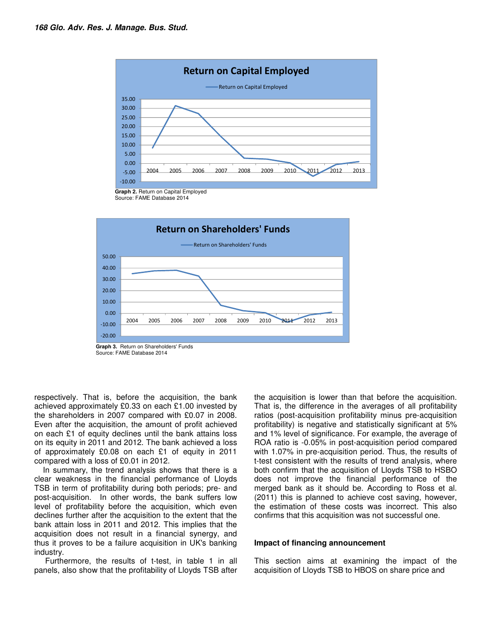

Source: FAME Database 2014



Source: FAME Database 2014

respectively. That is, before the acquisition, the bank achieved approximately £0.33 on each £1.00 invested by the shareholders in 2007 compared with £0.07 in 2008. Even after the acquisition, the amount of profit achieved on each £1 of equity declines until the bank attains loss on its equity in 2011 and 2012. The bank achieved a loss of approximately £0.08 on each £1 of equity in 2011 compared with a loss of £0.01 in 2012.

 In summary, the trend analysis shows that there is a clear weakness in the financial performance of Lloyds TSB in term of profitability during both periods; pre- and post-acquisition. In other words, the bank suffers low level of profitability before the acquisition, which even declines further after the acquisition to the extent that the bank attain loss in 2011 and 2012. This implies that the acquisition does not result in a financial synergy, and thus it proves to be a failure acquisition in UK's banking industry.

 Furthermore, the results of t-test, in table 1 in all panels, also show that the profitability of Lloyds TSB after

the acquisition is lower than that before the acquisition. That is, the difference in the averages of all profitability ratios (post-acquisition profitability minus pre-acquisition profitability) is negative and statistically significant at 5% and 1% level of significance. For example, the average of ROA ratio is -0.05% in post-acquisition period compared with 1.07% in pre-acquisition period. Thus, the results of t-test consistent with the results of trend analysis, where both confirm that the acquisition of Lloyds TSB to HSBO does not improve the financial performance of the merged bank as it should be. According to Ross et al. (2011) this is planned to achieve cost saving, however, the estimation of these costs was incorrect. This also confirms that this acquisition was not successful one.

#### **Impact of financing announcement**

This section aims at examining the impact of the acquisition of Lloyds TSB to HBOS on share price and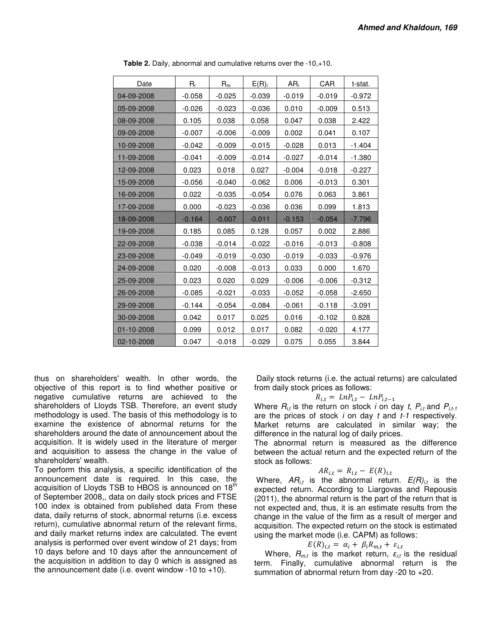| Date       | $R_i$    | $R_m$    | E(R)     | $AR_i$   | CAR      | t-stat.  |
|------------|----------|----------|----------|----------|----------|----------|
| 04-09-2008 | $-0.058$ | $-0.025$ | $-0.039$ | $-0.019$ | $-0.019$ | $-0.972$ |
| 05-09-2008 | $-0.026$ | $-0.023$ | $-0.036$ | 0.010    | $-0.009$ | 0.513    |
| 08-09-2008 | 0.105    | 0.038    | 0.058    | 0.047    | 0.038    | 2.422    |
| 09-09-2008 | $-0.007$ | $-0.006$ | $-0.009$ | 0.002    | 0.041    | 0.107    |
| 10-09-2008 | $-0.042$ | $-0.009$ | $-0.015$ | $-0.028$ | 0.013    | $-1.404$ |
| 11-09-2008 | $-0.041$ | $-0.009$ | $-0.014$ | $-0.027$ | $-0.014$ | $-1.380$ |
| 12-09-2008 | 0.023    | 0.018    | 0.027    | $-0.004$ | $-0.018$ | $-0.227$ |
| 15-09-2008 | $-0.056$ | $-0.040$ | $-0.062$ | 0.006    | $-0.013$ | 0.301    |
| 16-09-2008 | 0.022    | $-0.035$ | $-0.054$ | 0.076    | 0.063    | 3.861    |
| 17-09-2008 | 0.000    | $-0.023$ | $-0.036$ | 0.036    | 0.099    | 1.813    |
| 18-09-2008 | $-0.164$ | $-0.007$ | $-0.011$ | $-0.153$ | $-0.054$ | $-7.796$ |
| 19-09-2008 | 0.185    | 0.085    | 0.128    | 0.057    | 0.002    | 2.886    |
| 22-09-2008 | $-0.038$ | $-0.014$ | $-0.022$ | $-0.016$ | $-0.013$ | $-0.808$ |
| 23-09-2008 | $-0.049$ | $-0.019$ | $-0.030$ | $-0.019$ | $-0.033$ | $-0.976$ |
| 24-09-2008 | 0.020    | $-0.008$ | $-0.013$ | 0.033    | 0.000    | 1.670    |
| 25-09-2008 | 0.023    | 0.020    | 0.029    | $-0.006$ | $-0.006$ | $-0.312$ |
| 26-09-2008 | $-0.085$ | $-0.021$ | $-0.033$ | $-0.052$ | $-0.058$ | $-2.650$ |
| 29-09-2008 | $-0.144$ | $-0.054$ | $-0.084$ | $-0.061$ | $-0.118$ | $-3.091$ |
| 30-09-2008 | 0.042    | 0.017    | 0.025    | 0.016    | $-0.102$ | 0.828    |
| 01-10-2008 | 0.099    | 0.012    | 0.017    | 0.082    | $-0.020$ | 4.177    |
| 02-10-2008 | 0.047    | $-0.018$ | $-0.029$ | 0.075    | 0.055    | 3.844    |

**Table 2.** Daily, abnormal and cumulative returns over the -10,+10.

thus on shareholders' wealth. In other words, the objective of this report is to find whether positive or negative cumulative returns are achieved to the shareholders of Lloyds TSB. Therefore, an event study methodology is used. The basis of this methodology is to examine the existence of abnormal returns for the shareholders around the date of announcement about the acquisition. It is widely used in the literature of merger and acquisition to assess the change in the value of shareholders' wealth.

To perform this analysis, a specific identification of the announcement date is required. In this case, the acquisition of Lloyds TSB to HBOS is announced on 18<sup>th</sup> of September 2008,, data on daily stock prices and FTSE 100 index is obtained from published data From these data, daily returns of stock, abnormal returns (i.e. excess return), cumulative abnormal return of the relevant firms, and daily market returns index are calculated. The event analysis is performed over event window of 21 days; from 10 days before and 10 days after the announcement of the acquisition in addition to day 0 which is assigned as the announcement date (i.e. event window  $-10$  to  $+10$ ).

 Daily stock returns (i.e. the actual returns) are calculated from daily stock prices as follows:

$$
R_{i,t} = LnP_{i,t} - LnP_{i,t-1}
$$

Where  $R_{i,t}$  is the return on stock *i* on day *t*,  $P_{i,t}$  and  $P_{i,t-1}$ are the prices of stock  $i$  on day  $t$  and  $t$ -1 respectively. Market returns are calculated in similar way; the difference in the natural log of daily prices.

The abnormal return is measured as the difference between the actual return and the expected return of the stock as follows:

$$
AR_{i,t} = R_{i,t} - E(R)_{i,t}
$$

Where,  $AR_{it}$  is the abnormal return.  $E(R)_{it}$  is the expected return. According to Liargovas and Repousis (2011), the abnormal return is the part of the return that is not expected and, thus, it is an estimate results from the change in the value of the firm as a result of merger and acquisition. The expected return on the stock is estimated using the market mode (i.e. CAPM) as follows:

$$
E(R)_{i,t} = \alpha_i + \beta_i R_{m,t} + \varepsilon_{i,t}
$$

 $E(R)_{i,t} = \alpha_i + \beta_i R_{m,t} + \varepsilon_{i,t}$ <br>Where,  $R_{m,t}$  is the market return,  $\varepsilon_{i,t}$  is the residual term. Finally, cumulative abnormal return is the summation of abnormal return from day -20 to +20.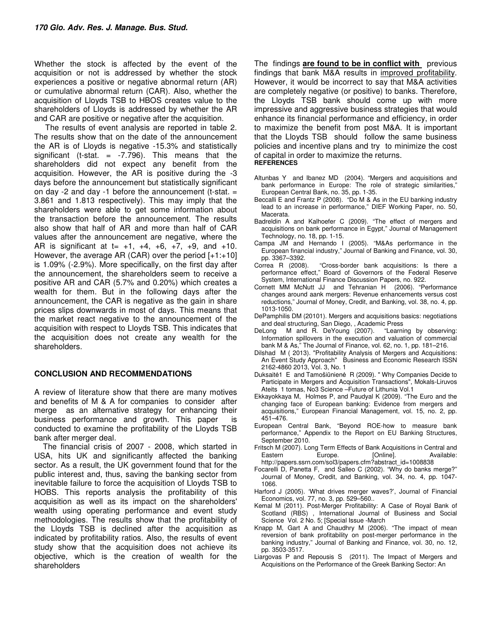Whether the stock is affected by the event of the acquisition or not is addressed by whether the stock experiences a positive or negative abnormal return (AR) or cumulative abnormal return (CAR). Also, whether the acquisition of Lloyds TSB to HBOS creates value to the shareholders of Lloyds is addressed by whether the AR and CAR are positive or negative after the acquisition.

 The results of event analysis are reported in table 2. The results show that on the date of the announcement the AR is of Lloyds is negative -15.3% and statistically significant (t-stat.  $=$  -7.796). This means that the shareholders did not expect any benefit from the acquisition. However, the AR is positive during the -3 days before the announcement but statistically significant on day  $-2$  and day  $-1$  before the announcement (t-stat.  $=$ 3.861 and 1.813 respectively). This may imply that the shareholders were able to get some information about the transaction before the announcement. The results also show that half of AR and more than half of CAR values after the announcement are negative, where the AR is significant at  $t= +1, +4, +6, +7, +9,$  and  $+10$ . However, the average AR (CAR) over the period  $[+1;+10]$ is 1.09% (-2.9%). More specifically, on the first day after the announcement, the shareholders seem to receive a positive AR and CAR (5.7% and 0.20%) which creates a wealth for them. But in the following days after the announcement, the CAR is negative as the gain in share prices slips downwards in most of days. This means that the market react negative to the announcement of the acquisition with respect to Lloyds TSB. This indicates that the acquisition does not create any wealth for the shareholders.

#### **CONCLUSION AND RECOMMENDATIONS**

A review of literature show that there are many motives and benefits of M & A for companies to consider after merge as an alternative strategy for enhancing their business performance and growth. This paper is conducted to examine the profitability of the Lloyds TSB bank after merger deal.

 The financial crisis of 2007 - 2008, which started in USA, hits UK and significantly affected the banking sector. As a result, the UK government found that for the public interest and, thus, saving the banking sector from inevitable failure to force the acquisition of Lloyds TSB to HOBS. This reports analysis the profitability of this acquisition as well as its impact on the shareholders' wealth using operating performance and event study methodologies. The results show that the profitability of the Lloyds TSB is declined after the acquisition as indicated by profitability ratios. Also, the results of event study show that the acquisition does not achieve its objective, which is the creation of wealth for the shareholders

The findings **are found to be in conflict with** previous findings that bank M&A results in improved profitability. However, it would be incorrect to say that M&A activities are completely negative (or positive) to banks. Therefore, the Lloyds TSB bank should come up with more impressive and aggressive business strategies that would enhance its financial performance and efficiency, in order to maximize the benefit from post M&A. It is important that the Lloyds TSB should follow the same business policies and incentive plans and try to minimize the cost of capital in order to maximize the returns. **REFERENCES** 

- Altunbas Y and Ibanez MD (2004). "Mergers and acquisitions and bank performance in Europe: The role of strategic similarities," European Central Bank, no. 35, pp. 1-35.
- Beccalli E and Frantz P (2008). "Do M & As in the EU banking industry lead to an increase in performance," DIEF Working Paper, no. 50, Macerata.
- Badreldin A and Kalhoefer C (2009). "The effect of mergers and acquisitions on bank performance in Egypt," Journal of Management Technology, no. 18, pp. 1-15.
- Campa JM and Hernando I (2005). "M&As performance in the European financial industry," Journal of Banking and Finance, vol. 30, pp. 3367–3392.<br>Correa R (2008).
- "Cross-border bank acquisitions: Is there a performance effect," Board of Governors of the Federal Reserve System, International Finance Discussion Papers, no. 922.
- Cornett MM McNutt JJ and Tehranian H (2006). "Performance changes around aank mergers: Revenue enhancements versus cost reductions," Journal of Money, Credit, and Banking, vol. 38, no. 4, pp. 1013-1050.
- DePamphilis DM (20101). Mergers and acquisitions basics: negotiations
- and deal structuring, San Diego, , Academic Press<br>DeLong Mand R. DeYoung (2007). "Learning by observing: M and R. DeYoung (2007). Information spillovers in the execution and valuation of commercial bank M & As," The Journal of Finance, vol. 62, no. 1, pp. 181–216.
- Dilshad M ( 2013). "Profitability Analysis of Mergers and Acquisitions: An Event Study Approach" Business and Economic Research ISSN 2162-4860 2013, Vol. 3, No. 1
- Duksaitė1 E and Tamošiūnienė R (2009). " Why Companies Decide to Participate in Mergers and Acquisition Transactions", Mokals-Liruvos Ateits 1 tomas, No3 Science –Future of Lithunia Vol.1
- Ekkayokkaya M, Holmes P, and Paudyal K (2009). "The Euro and the changing face of European banking: Evidence from mergers and acquisitions," European Financial Management, vol. 15, no. 2, pp. 451–476.
- European Central Bank, "Beyond ROE-how to measure bank performance," Appendix to the Report on EU Banking Structures, September 2010.
- Fritsch M (2007). Long Term Effects of Bank Acquisitions in Central and Eastern Europe. [Online]. Available: http://papers.ssrn.com/sol3/papers.cfm?abstract\_id=1008838
- Focarelli D, Panetta F, and Salleo C (2002). "Why do banks merge?" Journal of Money, Credit, and Banking, vol. 34, no. 4, pp. 1047- 1066.
- Harford J (2005). 'What drives merger waves?', Journal of Financial Economics, vol. 77, no. 3, pp. 529–560..
- Kemal M (2011). Post-Merger Profitability: A Case of Royal Bank of Scotland (RBS) , International Journal of Business and Social Science Vol. 2 No. 5; [Special Issue -March
- Knapp M, Gart A and Chaudhry M (2006). "The impact of mean reversion of bank profitability on post-merger performance in the banking industry," Journal of Banking and Finance, vol. 30, no. 12, pp. 3503-3517.
- Liargovas P and Repousis S (2011). The Impact of Mergers and Acquisitions on the Performance of the Greek Banking Sector: An